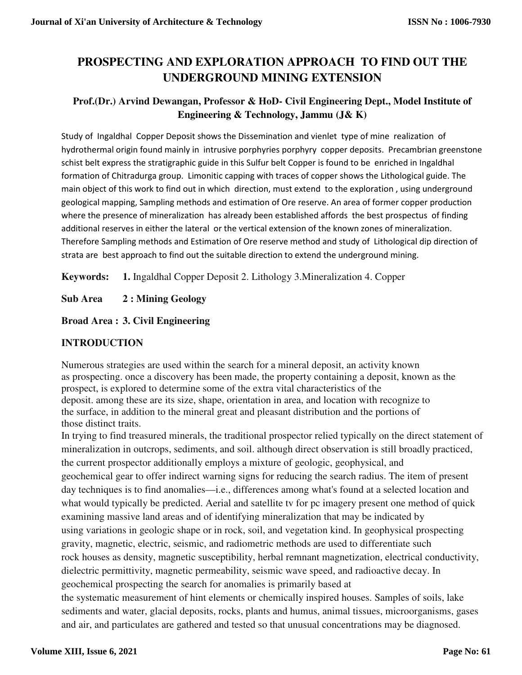# **PROSPECTING AND EXPLORATION APPROACH TO FIND OUT THE UNDERGROUND MINING EXTENSION**

## **Prof.(Dr.) Arvind Dewangan, Professor & HoD- Civil Engineering Dept., Model Institute of Engineering & Technology, Jammu (J& K)**

Study of Ingaldhal Copper Deposit shows the Dissemination and vienlet type of mine realization of hydrothermal origin found mainly in intrusive porphyries porphyry copper deposits. Precambrian greenstone schist belt express the stratigraphic guide in this Sulfur belt Copper is found to be enriched in Ingaldhal formation of Chitradurga group. Limonitic capping with traces of copper shows the Lithological guide. The main object of this work to find out in which direction, must extend to the exploration , using underground geological mapping, Sampling methods and estimation of Ore reserve. An area of former copper production where the presence of mineralization has already been established affords the best prospectus of finding additional reserves in either the lateral or the vertical extension of the known zones of mineralization. Therefore Sampling methods and Estimation of Ore reserve method and study of Lithological dip direction of strata are best approach to find out the suitable direction to extend the underground mining.

**Keywords: 1.** Ingaldhal Copper Deposit 2. Lithology 3.Mineralization 4. Copper

**Sub Area 2 : Mining Geology** 

**Broad Area : 3. Civil Engineering** 

## **INTRODUCTION**

Numerous strategies are used within the search for a mineral deposit, an activity known as prospecting. once a discovery has been made, the property containing a deposit, known as the prospect, is explored to determine some of the extra vital characteristics of the deposit. among these are its size, shape, orientation in area, and location with recognize to the surface, in addition to the mineral great and pleasant distribution and the portions of those distinct traits.

In trying to find treasured minerals, the traditional prospector relied typically on the direct statement of mineralization in outcrops, sediments, and soil. although direct observation is still broadly practiced, the current prospector additionally employs a mixture of geologic, geophysical, and geochemical gear to offer indirect warning signs for reducing the search radius. The item of present day techniques is to find anomalies—i.e., differences among what's found at a selected location and what would typically be predicted. Aerial and satellite tv for pc imagery present one method of quick examining massive land areas and of identifying mineralization that may be indicated by using variations in geologic shape or in rock, soil, and vegetation kind. In geophysical prospecting gravity, magnetic, electric, seismic, and radiometric methods are used to differentiate such rock houses as density, magnetic susceptibility, herbal remnant magnetization, electrical conductivity, dielectric permittivity, magnetic permeability, seismic wave speed, and radioactive decay. In geochemical prospecting the search for anomalies is primarily based at the systematic measurement of hint elements or chemically inspired houses. Samples of soils, lake sediments and water, glacial deposits, rocks, plants and humus, animal tissues, microorganisms, gases and air, and particulates are gathered and tested so that unusual concentrations may be diagnosed.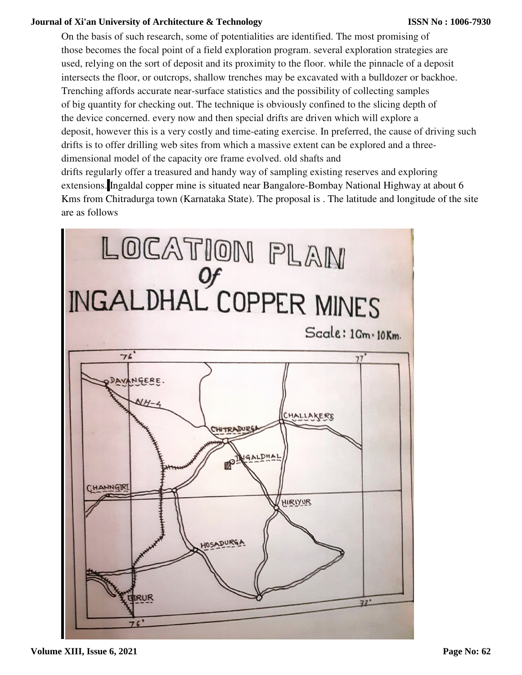#### **Journal of Xi'an University of Architecture & Technology**

On the basis of such research, some of potentialities are identified. The most promising of those becomes the focal point of a field exploration program. several exploration strategies are used, relying on the sort of deposit and its proximity to the floor. while the pinnacle of a deposit intersects the floor, or outcrops, shallow trenches may be excavated with a bulldozer or backhoe. Trenching affords accurate near-surface statistics and the possibility of collecting samples of big quantity for checking out. The technique is obviously confined to the slicing depth of the device concerned. every now and then special drifts are driven which will explore a deposit, however this is a very costly and time-eating exercise. In preferred, the cause of driving such drifts is to offer drilling web sites from which a massive extent can be explored and a threedimensional model of the capacity ore frame evolved. old shafts and drifts regularly offer a treasured and handy way of sampling existing reserves and exploring extensions. Ingaldal copper mine is situated near Bangalore-Bombay National Highway at about 6 Kms from Chitradurga town (Karnataka State). The proposal is . The latitude and longitude of the site are as follows

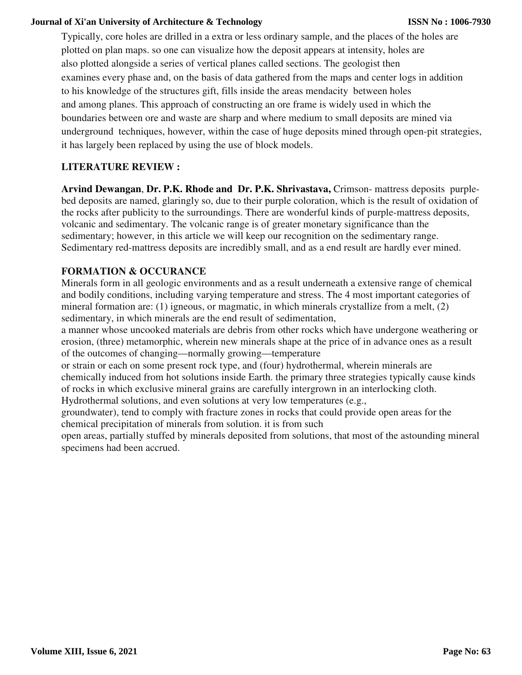#### **Journal of Xi'an University of Architecture & Technology**

Typically, core holes are drilled in a extra or less ordinary sample, and the places of the holes are plotted on plan maps. so one can visualize how the deposit appears at intensity, holes are also plotted alongside a series of vertical planes called sections. The geologist then examines every phase and, on the basis of data gathered from the maps and center logs in addition to his knowledge of the structures gift, fills inside the areas mendacity between holes and among planes. This approach of constructing an ore frame is widely used in which the boundaries between ore and waste are sharp and where medium to small deposits are mined via underground techniques, however, within the case of huge deposits mined through open-pit strategies, it has largely been replaced by using the use of block models.

#### **LITERATURE REVIEW :**

**Arvind Dewangan**, **Dr. P.K. Rhode and Dr. P.K. Shrivastava,** Crimson- mattress deposits purplebed deposits are named, glaringly so, due to their purple coloration, which is the result of oxidation of the rocks after publicity to the surroundings. There are wonderful kinds of purple-mattress deposits, volcanic and sedimentary. The volcanic range is of greater monetary significance than the sedimentary; however, in this article we will keep our recognition on the sedimentary range. Sedimentary red-mattress deposits are incredibly small, and as a end result are hardly ever mined.

#### **FORMATION & OCCURANCE**

Minerals form in all geologic environments and as a result underneath a extensive range of chemical and bodily conditions, including varying temperature and stress. The 4 most important categories of mineral formation are: (1) igneous, or magmatic, in which minerals crystallize from a melt, (2) sedimentary, in which minerals are the end result of sedimentation,

a manner whose uncooked materials are debris from other rocks which have undergone weathering or erosion, (three) metamorphic, wherein new minerals shape at the price of in advance ones as a result of the outcomes of changing—normally growing—temperature

or strain or each on some present rock type, and (four) hydrothermal, wherein minerals are chemically induced from hot solutions inside Earth. the primary three strategies typically cause kinds of rocks in which exclusive mineral grains are carefully intergrown in an interlocking cloth. Hydrothermal solutions, and even solutions at very low temperatures (e.g.,

groundwater), tend to comply with fracture zones in rocks that could provide open areas for the chemical precipitation of minerals from solution. it is from such

open areas, partially stuffed by minerals deposited from solutions, that most of the astounding mineral specimens had been accrued.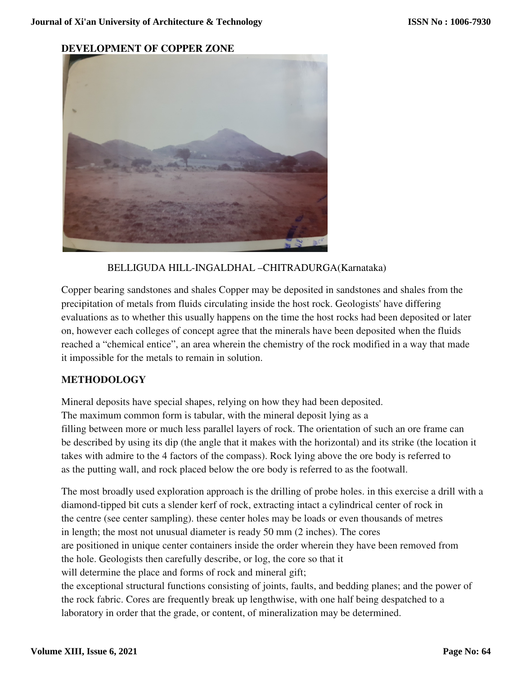**DEVELOPMENT OF COPPER ZONE** 



## BELLIGUDA HILL-INGALDHAL –CHITRADURGA(Karnataka)

Copper bearing sandstones and shales Copper may be deposited in sandstones and shales from the precipitation of metals from fluids circulating inside the host rock. Geologists' have differing evaluations as to whether this usually happens on the time the host rocks had been deposited or later on, however each colleges of concept agree that the minerals have been deposited when the fluids reached a "chemical entice", an area wherein the chemistry of the rock modified in a way that made it impossible for the metals to remain in solution.

## **METHODOLOGY**

Mineral deposits have special shapes, relying on how they had been deposited. The maximum common form is tabular, with the mineral deposit lying as a filling between more or much less parallel layers of rock. The orientation of such an ore frame can be described by using its dip (the angle that it makes with the horizontal) and its strike (the location it takes with admire to the 4 factors of the compass). Rock lying above the ore body is referred to as the putting wall, and rock placed below the ore body is referred to as the footwall.

The most broadly used exploration approach is the drilling of probe holes. in this exercise a drill with a diamond-tipped bit cuts a slender kerf of rock, extracting intact a cylindrical center of rock in the centre (see center sampling). these center holes may be loads or even thousands of metres in length; the most not unusual diameter is ready 50 mm (2 inches). The cores are positioned in unique center containers inside the order wherein they have been removed from the hole. Geologists then carefully describe, or log, the core so that it will determine the place and forms of rock and mineral gift; the exceptional structural functions consisting of joints, faults, and bedding planes; and the power of the rock fabric. Cores are frequently break up lengthwise, with one half being despatched to a laboratory in order that the grade, or content, of mineralization may be determined.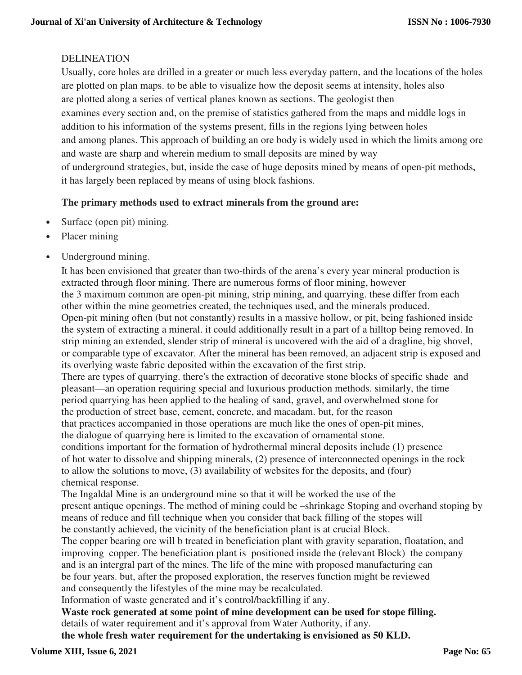## DELINEATION

Usually, core holes are drilled in a greater or much less everyday pattern, and the locations of the holes are plotted on plan maps. to be able to visualize how the deposit seems at intensity, holes also are plotted along a series of vertical planes known as sections. The geologist then examines every section and, on the premise of statistics gathered from the maps and middle logs in addition to his information of the systems present, fills in the regions lying between holes and among planes. This approach of building an ore body is widely used in which the limits among ore and waste are sharp and wherein medium to small deposits are mined by way of underground strategies, but, inside the case of huge deposits mined by means of open-pit methods, it has largely been replaced by means of using block fashions.

#### **The primary methods used to extract minerals from the ground are:**

- Surface (open pit) mining.
- Placer mining
- Underground mining.

It has been envisioned that greater than two-thirds of the arena's every year mineral production is extracted through floor mining. There are numerous forms of floor mining, however the 3 maximum common are open-pit mining, strip mining, and quarrying. these differ from each other within the mine geometries created, the techniques used, and the minerals produced. Open-pit mining often (but not constantly) results in a massive hollow, or pit, being fashioned inside the system of extracting a mineral. it could additionally result in a part of a hilltop being removed. In strip mining an extended, slender strip of mineral is uncovered with the aid of a dragline, big shovel, or comparable type of excavator. After the mineral has been removed, an adjacent strip is exposed and its overlying waste fabric deposited within the excavation of the first strip. There are types of quarrying. there's the extraction of decorative stone blocks of specific shade and pleasant—an operation requiring special and luxurious production methods. similarly, the time period quarrying has been applied to the healing of sand, gravel, and overwhelmed stone for the production of street base, cement, concrete, and macadam. but, for the reason that practices accompanied in those operations are much like the ones of open-pit mines, the dialogue of quarrying here is limited to the excavation of ornamental stone. conditions important for the formation of hydrothermal mineral deposits include (1) presence of hot water to dissolve and shipping minerals, (2) presence of interconnected openings in the rock to allow the solutions to move, (3) availability of websites for the deposits, and (four) chemical response.

The Ingaldal Mine is an underground mine so that it will be worked the use of the present antique openings. The method of mining could be –shrinkage Stoping and overhand stoping by means of reduce and fill technique when you consider that back filling of the stopes will be constantly achieved, the vicinity of the beneficiation plant is at crucial Block.

The copper bearing ore will b treated in beneficiation plant with gravity separation, floatation, and improving copper. The beneficiation plant is positioned inside the (relevant Block) the company and is an intergral part of the mines. The life of the mine with proposed manufacturing can be four years. but, after the proposed exploration, the reserves function might be reviewed and consequently the lifestyles of the mine may be recalculated.

Information of waste generated and it's control/backfilling if any.

**Waste rock generated at some point of mine development can be used for stope filling.** details of water requirement and it's approval from Water Authority, if any. **the whole fresh water requirement for the undertaking is envisioned as 50 KLD.**